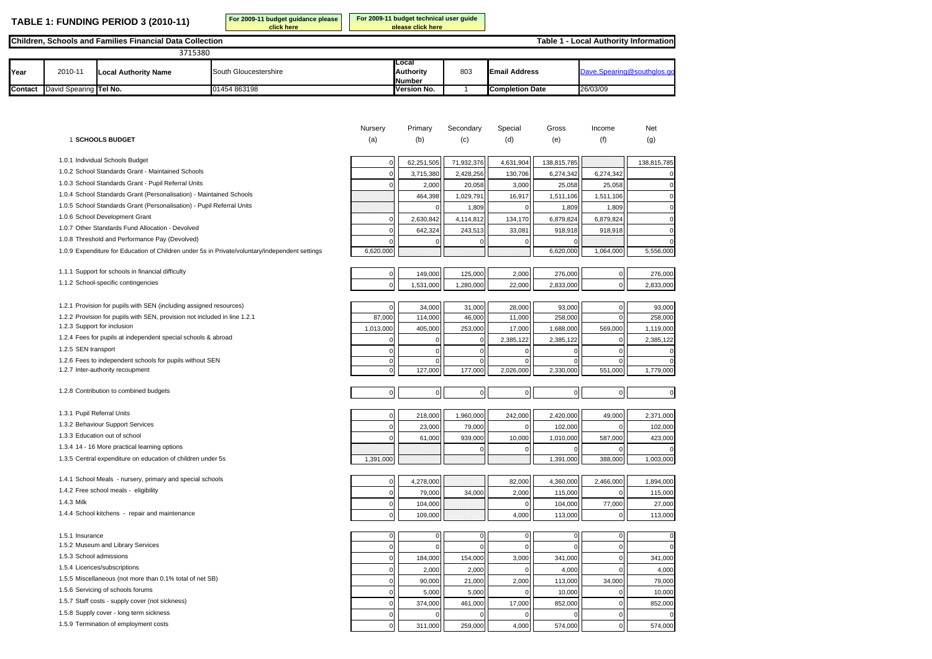**TABLE 1: FUNDING PERIOD 3 (2010-11)**

**For 2009-11 budget guidance please click here For 2009-11 budget technical user guide please click here**

**Table 1 - Local Authority Information**

## **Children, Schools and Families Financial Data Collection**

| 3715380 |                        |                      |                       |                                            |     |                        |          |
|---------|------------------------|----------------------|-----------------------|--------------------------------------------|-----|------------------------|----------|
| Year    | 2010-11                | Local Authority Name | South Gloucestershire | Local<br><b>Authority</b><br><b>Number</b> | 803 | <b>Email Address</b>   |          |
| Contact | David Spearing Tel No. |                      | 01454 863198          | Version No.                                |     | <b>Completion Date</b> | 26/03/09 |

|                                                                                                | Nursery             | Primary     | Secondary   | Special     | Gross       | Income      | Net           |
|------------------------------------------------------------------------------------------------|---------------------|-------------|-------------|-------------|-------------|-------------|---------------|
| 1 SCHOOLS BUDGET                                                                               | (a)                 | (b)         | (c)         | (d)         | (e)         | (f)         | (g)           |
| 1.0.1 Individual Schools Budget                                                                | $\mathbf 0$         | 62,251,505  | 71,932,376  | 4,631,904   | 138,815,785 |             | 138,815,785   |
| 1.0.2 School Standards Grant - Maintained Schools                                              | $\mathbf{0}$        | 3,715,380   | 2,428,256   | 130,706     | 6,274,342   | 6,274,342   | $\epsilon$    |
| 1.0.3 School Standards Grant - Pupil Referral Units                                            | $\mathbf 0$         | 2,000       | 20,058      | 3,000       | 25,058      | 25,058      | $\mathsf{C}$  |
| 1.0.4 School Standards Grant (Personalisation) - Maintained Schools                            |                     | 464,398     | 1,029,791   | 16,917      | 1,511,106   | 1,511,106   | $\mathsf{C}$  |
| 1.0.5 School Standards Grant (Personalisation) - Pupil Referral Units                          |                     | $\Omega$    | 1,809       | 0           | 1,809       | 1,809       | $\mathsf{C}$  |
| 1.0.6 School Development Grant                                                                 | $\mathbf 0$         | 2,630,842   | 4,114,812   | 134,170     | 6,879,824   | 6,879,824   | $\epsilon$    |
| 1.0.7 Other Standards Fund Allocation - Devolved                                               | $\mathbf 0$         | 642,324     | 243,513     | 33,081      | 918,918     | 918,918     | $\epsilon$    |
| 1.0.8 Threshold and Performance Pay (Devolved)                                                 | 0                   | $\Omega$    | 0           | $\mathbf 0$ | $\Omega$    |             | $\epsilon$    |
| 1.0.9 Expenditure for Education of Children under 5s in Private/voluntary/independent settings | 6,620,000           |             |             |             | 6,620,000   | 1,064,000   | 5,556,000     |
| 1.1.1 Support for schools in financial difficulty                                              | $\mathbf 0$         | 149,000     | 125,000     | 2,000       | 276,000     | $\mathbf 0$ | 276,000       |
| 1.1.2 School-specific contingencies                                                            | $\mathbf 0$         | 1,531,000   | 1,280,000   | 22,000      | 2,833,000   | $\pmb{0}$   | 2,833,000     |
| 1.2.1 Provision for pupils with SEN (including assigned resources)                             | $\Omega$            | 34,000      | 31,000      | 28,000      | 93,000      | $\mathbf 0$ | 93,000        |
| 1.2.2 Provision for pupils with SEN, provision not included in line 1.2.1                      | 87,000              | 114,000     | 46,000      | 11,000      | 258,000     | $\Omega$    | 258,000       |
| 1.2.3 Support for inclusion                                                                    | 1,013,000           | 405,000     | 253,000     | 17,000      | 1,688,000   | 569,000     | 1,119,000     |
| 1.2.4 Fees for pupils at independent special schools & abroad                                  | O                   | $\Omega$    | $\Omega$    | 2,385,122   | 2,385,122   | $\mathbf 0$ | 2,385,122     |
| 1.2.5 SEN transport                                                                            | 0                   | $\mathbf 0$ | 0           | $\mathbf 0$ | $\Omega$    | $\mathbf 0$ | C             |
| 1.2.6 Fees to independent schools for pupils without SEN                                       | $\mathbf 0$         | $\mathbf 0$ | $\mathbf 0$ | $\mathbf 0$ | $\mathbf 0$ | $\mathbf 0$ | $\epsilon$    |
| 1.2.7 Inter-authority recoupment                                                               | $\mathbf{0}$        | 127,000     | 177,000     | 2,026,000   | 2,330,000   | 551,000     | 1,779,000     |
| 1.2.8 Contribution to combined budgets                                                         | $\mathbf 0$         | $\pmb{0}$   | $\mathbf 0$ | $\circ$     | $\mathbf 0$ | $\pmb{0}$   | $\mathcal{C}$ |
| 1.3.1 Pupil Referral Units                                                                     | $\mathbf 0$         | 218,000     | 1,960,000   | 242,000     | 2,420,000   | 49,000      | 2,371,000     |
| 1.3.2 Behaviour Support Services                                                               | $\mathbf 0$         | 23,000      | 79,000      | $\Omega$    | 102,000     | $\mathbf 0$ | 102,000       |
| 1.3.3 Education out of school                                                                  | $\mathbf 0$         | 61,000      | 939,000     | 10,000      | 1,010,000   | 587,000     | 423,000       |
| 1.3.4 14 - 16 More practical learning options                                                  |                     |             | $\Omega$    | $\mathbf 0$ | $\Omega$    | $\Omega$    |               |
| 1.3.5 Central expenditure on education of children under 5s                                    | 1,391,000           |             |             |             | 1,391,000   | 388,000     | 1,003,000     |
| 1.4.1 School Meals - nursery, primary and special schools                                      | $\mathbf 0$         | 4,278,000   |             | 82,000      | 4,360,000   | 2,466,000   | 1,894,000     |
| 1.4.2 Free school meals - eligibility                                                          | $\mathbf 0$         | 79,000      | 34,000      | 2,000       | 115,000     | $\Omega$    | 115,000       |
| 1.4.3 Milk                                                                                     | $\mathbf 0$         | 104,000     |             | $\mathbf 0$ | 104,000     | 77,000      | 27,000        |
| 1.4.4 School kitchens - repair and maintenance                                                 | $\mathbf 0$         | 109,000     |             | 4,000       | 113,000     | $\mathbf 0$ | 113,000       |
| 1.5.1 Insurance                                                                                | $\mathbf 0$         | $\mathbf 0$ | 0           | $\mathbf 0$ | $\mathbf 0$ | $\mathbf 0$ | $\epsilon$    |
| 1.5.2 Museum and Library Services                                                              | $\mathsf{O}\xspace$ |             | $\mathbf 0$ | $\mathbf 0$ | $\Omega$    | $\mathbf 0$ | $\epsilon$    |
| 1.5.3 School admissions                                                                        | $\mathbf 0$         | 184,000     | 154,000     | 3,000       | 341,000     | $\mathbf 0$ | 341,000       |
| 1.5.4 Licences/subscriptions                                                                   | $\mathbf 0$         | 2,000       | 2,000       | $\mathbf 0$ | 4,000       | $\mathbf 0$ | 4,000         |
| 1.5.5 Miscellaneous (not more than 0.1% total of net SB)                                       | $\mathbf 0$         | 90,000      | 21,000      | 2,000       | 113,000     | 34,000      | 79,000        |
| 1.5.6 Servicing of schools forums                                                              | $\mathbf 0$         | 5,000       | 5,000       | 0           | 10,000      | $\mathbf 0$ | 10,000        |
| 1.5.7 Staff costs - supply cover (not sickness)                                                | 0                   | 374,000     | 461,000     | 17,000      | 852,000     | $\mathbf 0$ | 852,000       |
| 1.5.8 Supply cover - long term sickness                                                        | $\mathbf 0$         | $\Omega$    | $\Omega$    | $\mathbf 0$ | $\Omega$    | $\mathbf 0$ | $\epsilon$    |
| 1.5.9 Termination of employment costs                                                          | $\Omega$            | 311.000     | 259.000     | 4.000       | 574,000     | $\Omega$    | 574.000       |